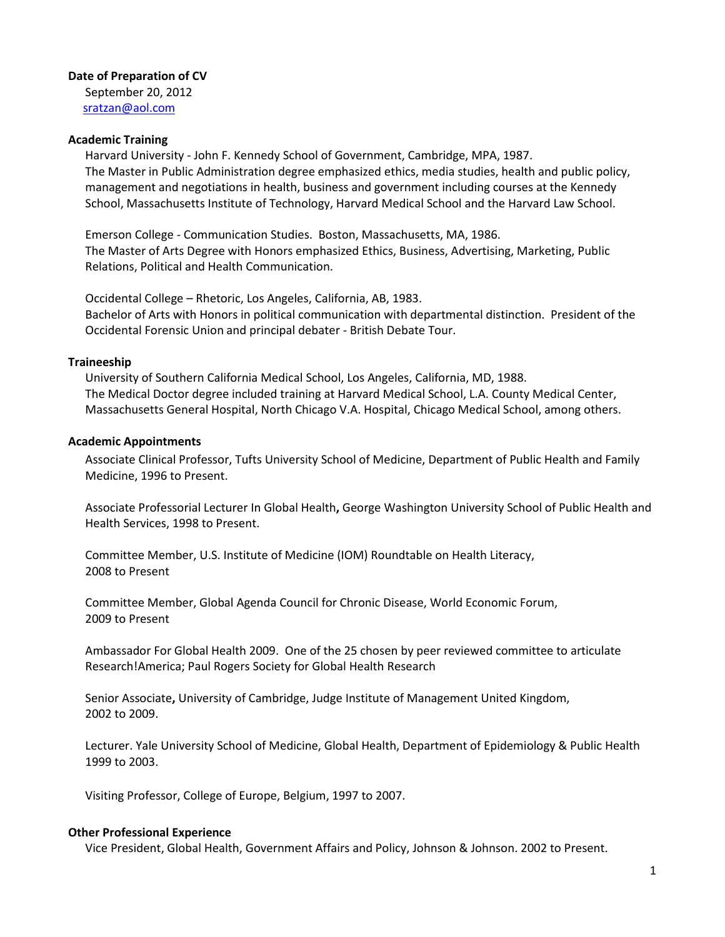### **Date of Preparation of CV**

September 20, 2012 [sratzan@aol.com](mailto:sratzan@aol.com)

#### **Academic Training**

Harvard University - John F. Kennedy School of Government, Cambridge, MPA, 1987. The Master in Public Administration degree emphasized ethics, media studies, health and public policy, management and negotiations in health, business and government including courses at the Kennedy School, Massachusetts Institute of Technology, Harvard Medical School and the Harvard Law School.

Emerson College - Communication Studies. Boston, Massachusetts, MA, 1986. The Master of Arts Degree with Honors emphasized Ethics, Business, Advertising, Marketing, Public Relations, Political and Health Communication.

Occidental College – Rhetoric, Los Angeles, California, AB, 1983. Bachelor of Arts with Honors in political communication with departmental distinction. President of the Occidental Forensic Union and principal debater - British Debate Tour.

### **Traineeship**

University of Southern California Medical School, Los Angeles, California, MD, 1988. The Medical Doctor degree included training at Harvard Medical School, L.A. County Medical Center, Massachusetts General Hospital, North Chicago V.A. Hospital, Chicago Medical School, among others.

### **Academic Appointments**

Associate Clinical Professor, Tufts University School of Medicine, Department of Public Health and Family Medicine, 1996 to Present.

Associate Professorial Lecturer In Global Health**,** George Washington University School of Public Health and Health Services, 1998 to Present.

Committee Member, U.S. Institute of Medicine (IOM) Roundtable on Health Literacy, 2008 to Present

Committee Member, Global Agenda Council for Chronic Disease, World Economic Forum, 2009 to Present

Ambassador For Global Health 2009. One of the 25 chosen by peer reviewed committee to articulate Research!America; Paul Rogers Society for Global Health Research

Senior Associate**,** University of Cambridge, Judge Institute of Management United Kingdom, 2002 to 2009.

Lecturer. Yale University School of Medicine, Global Health, Department of Epidemiology & Public Health 1999 to 2003.

Visiting Professor, College of Europe, Belgium, 1997 to 2007.

## **Other Professional Experience**

Vice President, Global Health, Government Affairs and Policy, Johnson & Johnson. 2002 to Present.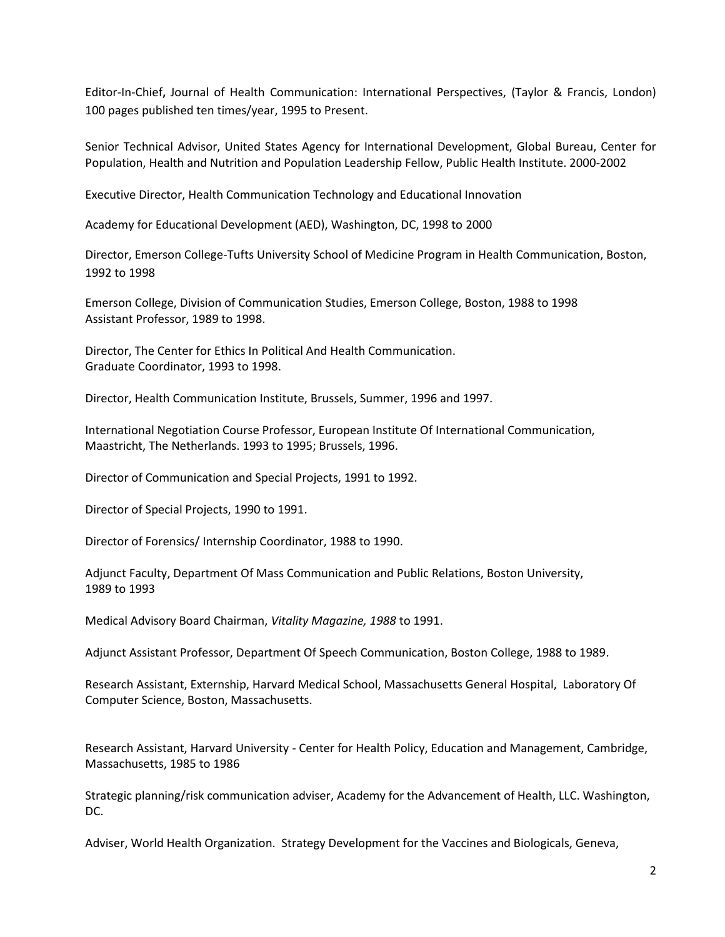Editor-In-Chief**,** Journal of Health Communication: International Perspectives, (Taylor & Francis, London) 100 pages published ten times/year, 1995 to Present.

Senior Technical Advisor, United States Agency for International Development, Global Bureau, Center for Population, Health and Nutrition and Population Leadership Fellow, Public Health Institute. 2000-2002

Executive Director, Health Communication Technology and Educational Innovation

Academy for Educational Development (AED), Washington, DC, 1998 to 2000

Director, Emerson College-Tufts University School of Medicine Program in Health Communication, Boston, 1992 to 1998

Emerson College, Division of Communication Studies, Emerson College, Boston, 1988 to 1998 Assistant Professor, 1989 to 1998.

Director, The Center for Ethics In Political And Health Communication. Graduate Coordinator, 1993 to 1998.

Director, Health Communication Institute, Brussels, Summer, 1996 and 1997.

International Negotiation Course Professor, European Institute Of International Communication, Maastricht, The Netherlands. 1993 to 1995; Brussels, 1996.

Director of Communication and Special Projects, 1991 to 1992.

Director of Special Projects, 1990 to 1991.

Director of Forensics/ Internship Coordinator, 1988 to 1990.

Adjunct Faculty, Department Of Mass Communication and Public Relations, Boston University, 1989 to 1993

Medical Advisory Board Chairman, *Vitality Magazine, 1988* to 1991.

Adjunct Assistant Professor, Department Of Speech Communication, Boston College, 1988 to 1989.

Research Assistant, Externship, Harvard Medical School, Massachusetts General Hospital, Laboratory Of Computer Science, Boston, Massachusetts.

Research Assistant, Harvard University - Center for Health Policy, Education and Management, Cambridge, Massachusetts, 1985 to 1986

Strategic planning/risk communication adviser, Academy for the Advancement of Health, LLC. Washington, DC.

Adviser, World Health Organization. Strategy Development for the Vaccines and Biologicals, Geneva,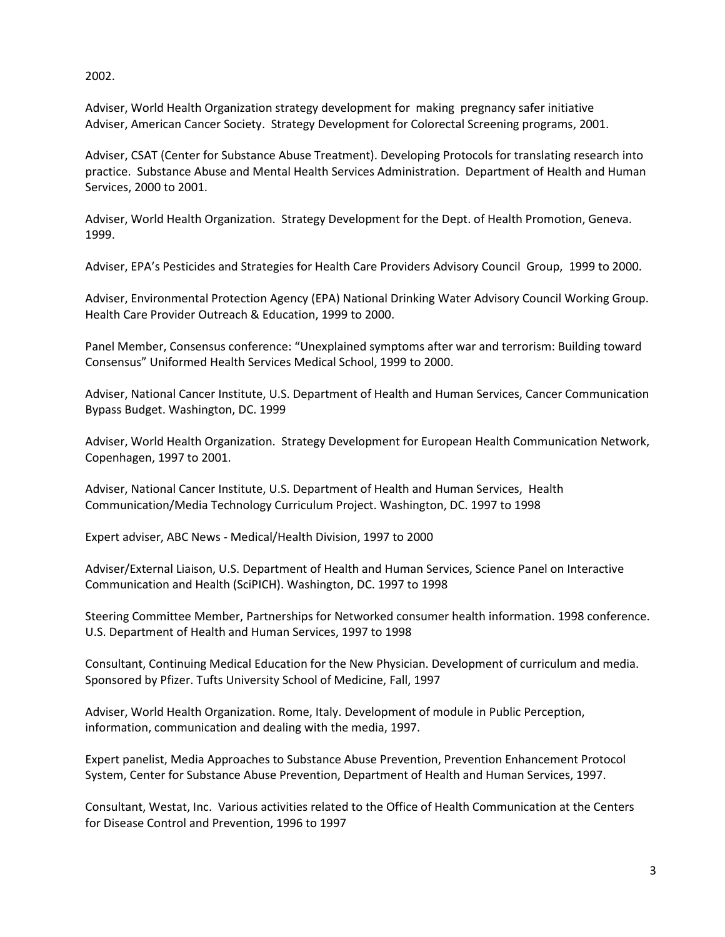2002.

Adviser, World Health Organization strategy development for making pregnancy safer initiative Adviser, American Cancer Society. Strategy Development for Colorectal Screening programs, 2001.

Adviser, CSAT (Center for Substance Abuse Treatment). Developing Protocols for translating research into practice. Substance Abuse and Mental Health Services Administration. Department of Health and Human Services, 2000 to 2001.

Adviser, World Health Organization. Strategy Development for the Dept. of Health Promotion, Geneva. 1999.

Adviser, EPA's Pesticides and Strategies for Health Care Providers Advisory Council Group, 1999 to 2000.

Adviser, Environmental Protection Agency (EPA) National Drinking Water Advisory Council Working Group. Health Care Provider Outreach & Education, 1999 to 2000.

Panel Member, Consensus conference: "Unexplained symptoms after war and terrorism: Building toward Consensus" Uniformed Health Services Medical School, 1999 to 2000.

Adviser, National Cancer Institute, U.S. Department of Health and Human Services, Cancer Communication Bypass Budget. Washington, DC. 1999

Adviser, World Health Organization. Strategy Development for European Health Communication Network, Copenhagen, 1997 to 2001.

Adviser, National Cancer Institute, U.S. Department of Health and Human Services, Health Communication/Media Technology Curriculum Project. Washington, DC. 1997 to 1998

Expert adviser, ABC News - Medical/Health Division, 1997 to 2000

Adviser/External Liaison, U.S. Department of Health and Human Services, Science Panel on Interactive Communication and Health (SciPICH). Washington, DC. 1997 to 1998

Steering Committee Member, Partnerships for Networked consumer health information. 1998 conference. U.S. Department of Health and Human Services, 1997 to 1998

Consultant, Continuing Medical Education for the New Physician. Development of curriculum and media. Sponsored by Pfizer. Tufts University School of Medicine, Fall, 1997

Adviser, World Health Organization. Rome, Italy. Development of module in Public Perception, information, communication and dealing with the media, 1997.

Expert panelist, Media Approaches to Substance Abuse Prevention, Prevention Enhancement Protocol System, Center for Substance Abuse Prevention, Department of Health and Human Services, 1997.

Consultant, Westat, Inc. Various activities related to the Office of Health Communication at the Centers for Disease Control and Prevention, 1996 to 1997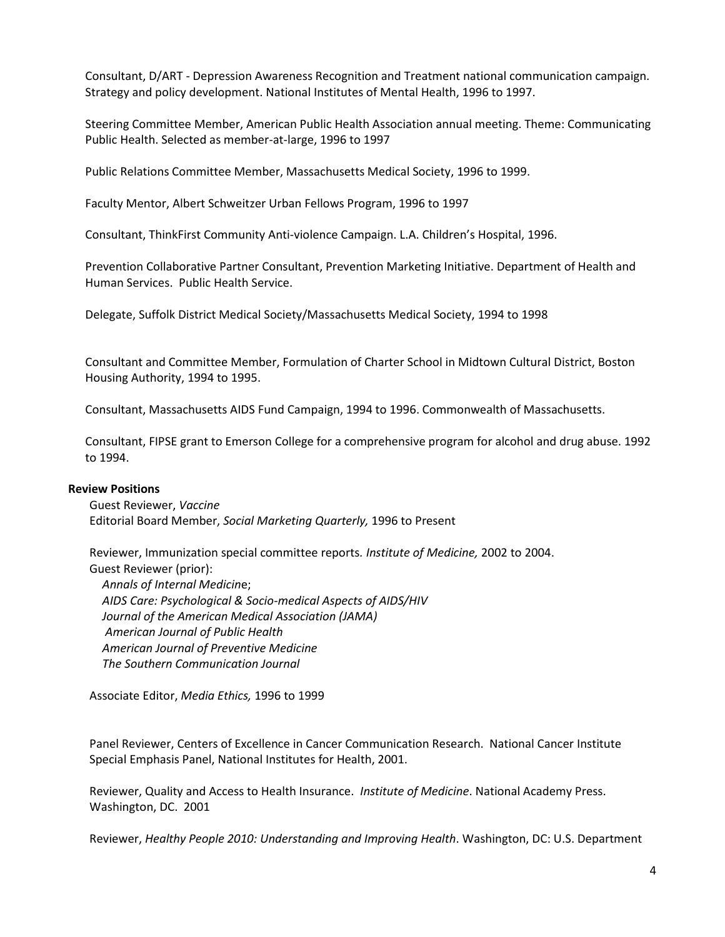Consultant, D/ART - Depression Awareness Recognition and Treatment national communication campaign. Strategy and policy development. National Institutes of Mental Health, 1996 to 1997.

Steering Committee Member, American Public Health Association annual meeting. Theme: Communicating Public Health. Selected as member-at-large, 1996 to 1997

Public Relations Committee Member, Massachusetts Medical Society, 1996 to 1999.

Faculty Mentor, Albert Schweitzer Urban Fellows Program, 1996 to 1997

Consultant, ThinkFirst Community Anti-violence Campaign. L.A. Children's Hospital, 1996.

Prevention Collaborative Partner Consultant, Prevention Marketing Initiative. Department of Health and Human Services. Public Health Service.

Delegate, Suffolk District Medical Society/Massachusetts Medical Society, 1994 to 1998

Consultant and Committee Member, Formulation of Charter School in Midtown Cultural District, Boston Housing Authority, 1994 to 1995.

Consultant, Massachusetts AIDS Fund Campaign, 1994 to 1996. Commonwealth of Massachusetts.

Consultant, FIPSE grant to Emerson College for a comprehensive program for alcohol and drug abuse. 1992 to 1994.

### **Review Positions**

Guest Reviewer, *Vaccine* Editorial Board Member, *Social Marketing Quarterly,* 1996 to Present

Reviewer, Immunization special committee reports*. Institute of Medicine,* 2002 to 2004. Guest Reviewer (prior):

*Annals of Internal Medicin*e; *AIDS Care: Psychological & Socio-medical Aspects of AIDS/HIV Journal of the American Medical Association (JAMA) American Journal of Public Health American Journal of Preventive Medicine The Southern Communication Journal*

Associate Editor, *Media Ethics,* 1996 to 1999

Panel Reviewer, Centers of Excellence in Cancer Communication Research. National Cancer Institute Special Emphasis Panel, National Institutes for Health, 2001.

Reviewer, Quality and Access to Health Insurance. *Institute of Medicine*. National Academy Press. Washington, DC. 2001

Reviewer, *Healthy People 2010: Understanding and Improving Health*. Washington, DC: U.S. Department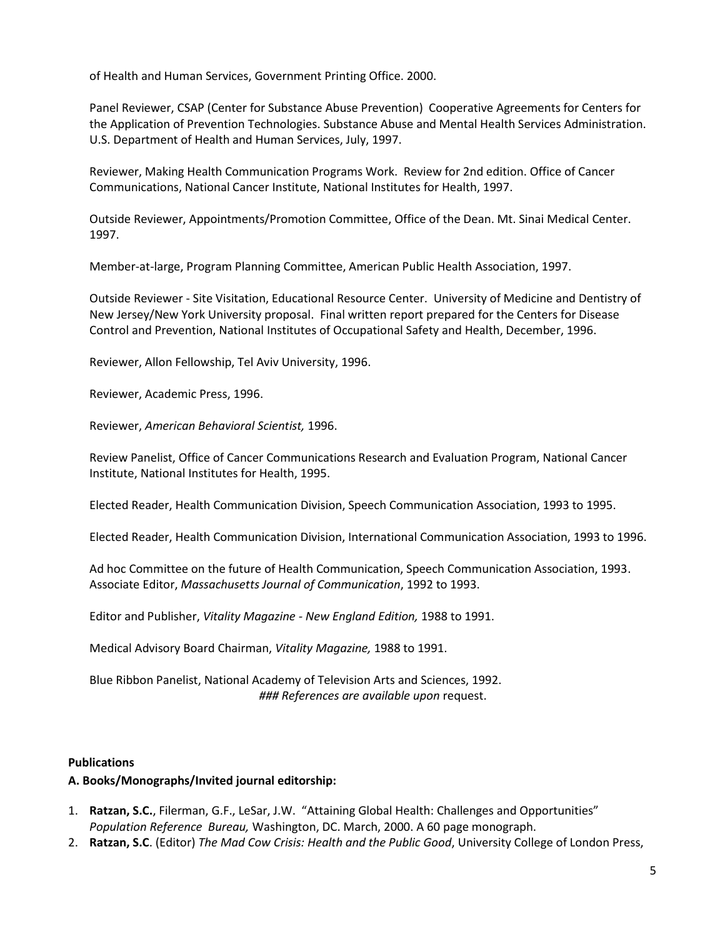of Health and Human Services, Government Printing Office. 2000.

Panel Reviewer, CSAP (Center for Substance Abuse Prevention) Cooperative Agreements for Centers for the Application of Prevention Technologies. Substance Abuse and Mental Health Services Administration. U.S. Department of Health and Human Services, July, 1997.

Reviewer, Making Health Communication Programs Work. Review for 2nd edition. Office of Cancer Communications, National Cancer Institute, National Institutes for Health, 1997.

Outside Reviewer, Appointments/Promotion Committee, Office of the Dean. Mt. Sinai Medical Center. 1997.

Member-at-large, Program Planning Committee, American Public Health Association, 1997.

Outside Reviewer - Site Visitation, Educational Resource Center. University of Medicine and Dentistry of New Jersey/New York University proposal. Final written report prepared for the Centers for Disease Control and Prevention, National Institutes of Occupational Safety and Health, December, 1996.

Reviewer, Allon Fellowship, Tel Aviv University, 1996.

Reviewer, Academic Press, 1996.

Reviewer, *American Behavioral Scientist,* 1996.

Review Panelist, Office of Cancer Communications Research and Evaluation Program, National Cancer Institute, National Institutes for Health, 1995.

Elected Reader, Health Communication Division, Speech Communication Association, 1993 to 1995.

Elected Reader, Health Communication Division, International Communication Association, 1993 to 1996.

Ad hoc Committee on the future of Health Communication, Speech Communication Association, 1993. Associate Editor, *Massachusetts Journal of Communication*, 1992 to 1993.

Editor and Publisher, *Vitality Magazine - New England Edition,* 1988 to 1991.

Medical Advisory Board Chairman, *Vitality Magazine,* 1988 to 1991.

Blue Ribbon Panelist, National Academy of Television Arts and Sciences, 1992. *### References are available upon* request.

## **Publications**

## **A. Books/Monographs/Invited journal editorship:**

- 1. **Ratzan, S.C.**, Filerman, G.F., LeSar, J.W. "Attaining Global Health: Challenges and Opportunities" *Population Reference Bureau,* Washington, DC. March, 2000. A 60 page monograph.
- 2. **Ratzan, S.C**. (Editor) *The Mad Cow Crisis: Health and the Public Good*, University College of London Press,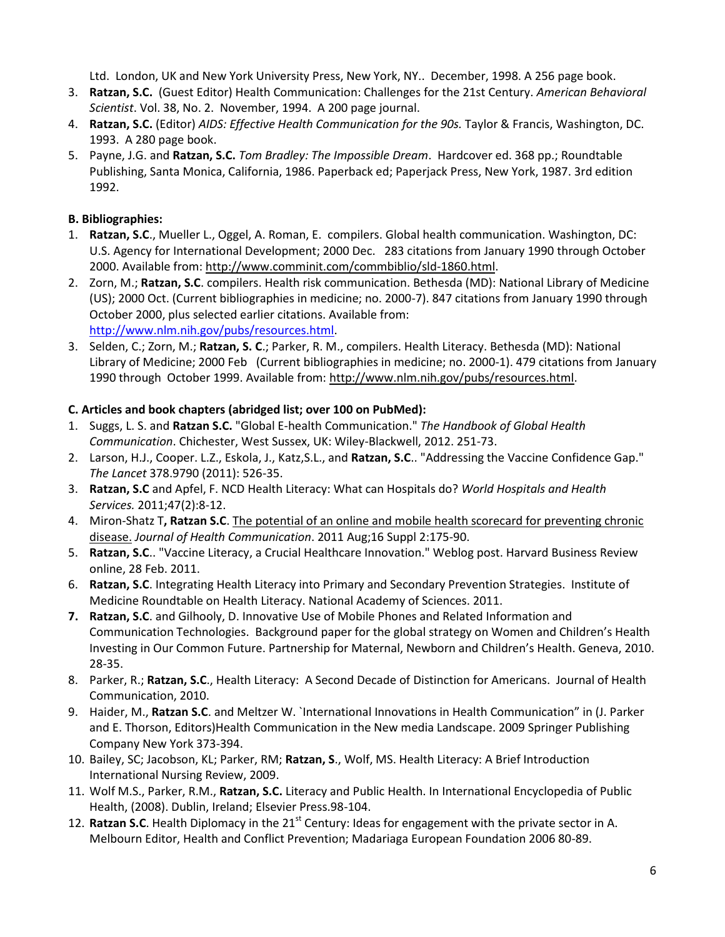Ltd. London, UK and New York University Press, New York, NY.. December, 1998. A 256 page book.

- 3. **Ratzan, S.C.** (Guest Editor) Health Communication: Challenges for the 21st Century. *American Behavioral Scientist*. Vol. 38, No. 2. November, 1994. A 200 page journal.
- 4. **Ratzan, S.C.** (Editor) *AIDS: Effective Health Communication for the 90s.* Taylor & Francis, Washington, DC. 1993. A 280 page book.
- 5. Payne, J.G. and **Ratzan, S.C.** *Tom Bradley: The Impossible Dream*. Hardcover ed. 368 pp.; Roundtable Publishing, Santa Monica, California, 1986. Paperback ed; Paperjack Press, New York, 1987. 3rd edition 1992.

# **B. Bibliographies:**

- 1. **Ratzan, S.C**., Mueller L., Oggel, A. Roman, E. compilers. Global health communication. Washington, DC: U.S. Agency for International Development; 2000 Dec. 283 citations from January 1990 through October 2000. Available from: http://www.comminit.com/commbiblio/sld-1860.html.
- 2. Zorn, M.; **Ratzan, S.C**. compilers. Health risk communication. Bethesda (MD): National Library of Medicine (US); 2000 Oct. (Current bibliographies in medicine; no. 2000-7). 847 citations from January 1990 through October 2000, plus selected earlier citations. Available from: [http://www.nlm.nih.gov/pubs/resources.html.](http://www.nlm.nih.gov/pubs/resources.html)
- 3. Selden, C.; Zorn, M.; **Ratzan, S. C**.; Parker, R. M., compilers. Health Literacy. Bethesda (MD): National Library of Medicine; 2000 Feb (Current bibliographies in medicine; no. 2000-1). 479 citations from January 1990 through October 1999. Available from: [http://www.nlm.nih.gov/pubs/resources.html.](http://www.nlm.nih.gov/pubs/resources.html)

# **C. Articles and book chapters (abridged list; over 100 on PubMed):**

- 1. Suggs, L. S. and **Ratzan S.C.** "Global E-health Communication." *The Handbook of Global Health Communication*. Chichester, West Sussex, UK: Wiley-Blackwell, 2012. 251-73.
- 2. Larson, H.J., Cooper. L.Z., Eskola, J., Katz,S.L., and **Ratzan, S.C**.. "Addressing the Vaccine Confidence Gap." *The Lancet* 378.9790 (2011): 526-35.
- 3. **Ratzan, S.C** and Apfel, F. NCD Health Literacy: What can Hospitals do? *World Hospitals and Health Services.* 2011;47(2):8-12.
- 4. Miron-Shatz T**, Ratzan S.C**. The potential of an online and mobile health scorecard for [preventing](http://www.ncbi.nlm.nih.gov/pubmed/21916721) chronic [disease.](http://www.ncbi.nlm.nih.gov/pubmed/21916721) *Journal of Health Communication*. 2011 Aug;16 Suppl 2:175-90.
- 5. **Ratzan, S.C**.. "Vaccine Literacy, a Crucial Healthcare Innovation." Weblog post. Harvard Business Review online, 28 Feb. 2011.
- 6. **Ratzan, S.C**. Integrating Health Literacy into Primary and Secondary Prevention Strategies. Institute of Medicine Roundtable on Health Literacy. National Academy of Sciences. 2011.
- **7. Ratzan, S.C**. and Gilhooly, D. Innovative Use of Mobile Phones and Related Information and Communication Technologies. Background paper for the global strategy on Women and Children's Health Investing in Our Common Future. Partnership for Maternal, Newborn and Children's Health. Geneva, 2010. 28-35.
- 8. Parker, R.; **Ratzan, S.C**., Health Literacy: A Second Decade of Distinction for Americans. Journal of Health Communication, 2010.
- 9. Haider, M., **Ratzan S.C**. and Meltzer W. `International Innovations in Health Communication" in (J. Parker and E. Thorson, Editors)Health Communication in the New media Landscape. 2009 Springer Publishing Company New York 373-394.
- 10. Bailey, SC; Jacobson, KL; Parker, RM; **Ratzan, S**., Wolf, MS. Health Literacy: A Brief Introduction International Nursing Review, 2009.
- 11. Wolf M.S., Parker, R.M., **Ratzan, S.C.** Literacy and Public Health. In International Encyclopedia of Public Health, (2008). Dublin, Ireland; Elsevier Press.98-104.
- 12. **Ratzan S.C**. Health Diplomacy in the 21<sup>st</sup> Century: Ideas for engagement with the private sector in A. Melbourn Editor, Health and Conflict Prevention; Madariaga European Foundation 2006 80-89.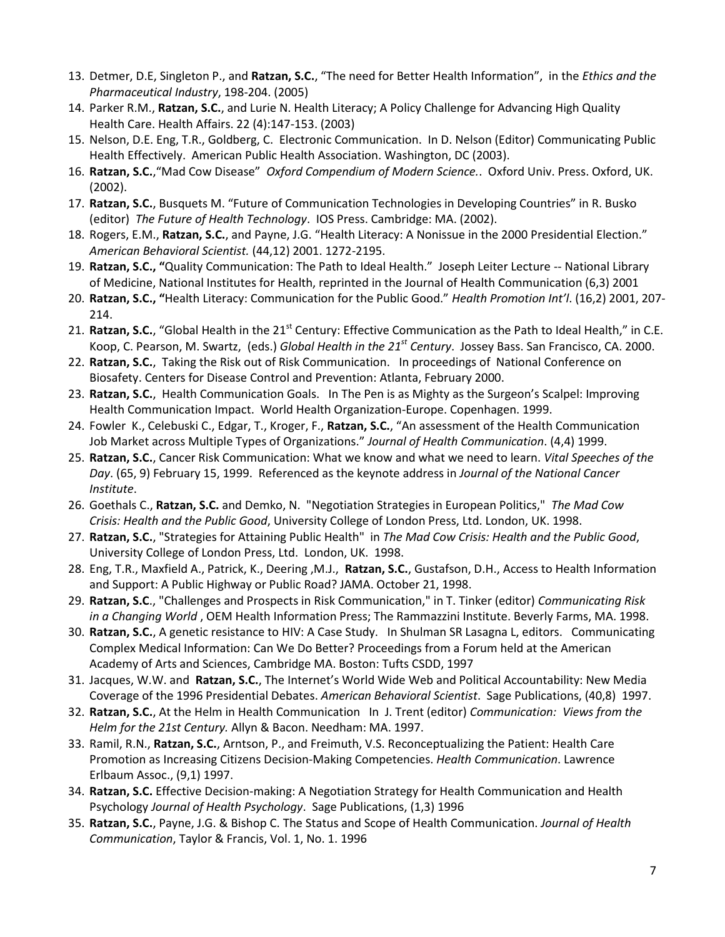- 13. Detmer, D.E, Singleton P., and **Ratzan, S.C.**, "The need for Better Health Information", in the *Ethics and the Pharmaceutical Industry*, 198-204. (2005)
- 14. Parker R.M., **Ratzan, S.C.**, and Lurie N. Health Literacy; A Policy Challenge for Advancing High Quality Health Care. Health Affairs. 22 (4):147-153. (2003)
- 15. Nelson, D.E. Eng, T.R., Goldberg, C. Electronic Communication. In D. Nelson (Editor) Communicating Public Health Effectively. American Public Health Association. Washington, DC (2003).
- 16. **Ratzan, S.C.**,"Mad Cow Disease" *Oxford Compendium of Modern Science.*. Oxford Univ. Press. Oxford, UK. (2002).
- 17. **Ratzan, S.C.**, Busquets M. "Future of Communication Technologies in Developing Countries" in R. Busko (editor) *The Future of Health Technology*. IOS Press. Cambridge: MA. (2002).
- 18. Rogers, E.M., **Ratzan, S.C.**, and Payne, J.G. "Health Literacy: A Nonissue in the 2000 Presidential Election." *American Behavioral Scientist.* (44,12) 2001. 1272-2195.
- 19. **Ratzan, S.C., "**Quality Communication: The Path to Ideal Health." Joseph Leiter Lecture -- National Library of Medicine, National Institutes for Health, reprinted in the Journal of Health Communication (6,3) 2001
- 20. **Ratzan, S.C., "**Health Literacy: Communication for the Public Good." *Health Promotion Int'l*. (16,2) 2001, 207- 214.
- 21. Ratzan, S.C., "Global Health in the 21<sup>st</sup> Century: Effective Communication as the Path to Ideal Health," in C.E. Koop, C. Pearson, M. Swartz, (eds.) *Global Health in the 21st Century*. Jossey Bass. San Francisco, CA. 2000.
- 22. **Ratzan, S.C.**, Taking the Risk out of Risk Communication. In proceedings of National Conference on Biosafety. Centers for Disease Control and Prevention: Atlanta, February 2000.
- 23. **Ratzan, S.C.**, Health Communication Goals. In The Pen is as Mighty as the Surgeon's Scalpel: Improving Health Communication Impact. World Health Organization-Europe. Copenhagen. 1999.
- 24. Fowler K., Celebuski C., Edgar, T., Kroger, F., **Ratzan, S.C.**, "An assessment of the Health Communication Job Market across Multiple Types of Organizations." *Journal of Health Communication*. (4,4) 1999.
- 25. **Ratzan, S.C.**, Cancer Risk Communication: What we know and what we need to learn. *Vital Speeches of the Day*. (65, 9) February 15, 1999. Referenced as the keynote address in *Journal of the National Cancer Institute*.
- 26. Goethals C., **Ratzan, S.C.** and Demko, N. "Negotiation Strategies in European Politics," *The Mad Cow Crisis: Health and the Public Good*, University College of London Press, Ltd. London, UK. 1998.
- 27. **Ratzan, S.C.**, "Strategies for Attaining Public Health" in *The Mad Cow Crisis: Health and the Public Good*, University College of London Press, Ltd. London, UK. 1998.
- 28. Eng, T.R., Maxfield A., Patrick, K., Deering ,M.J., **Ratzan, S.C.**, Gustafson, D.H., Access to Health Information and Support: A Public Highway or Public Road? JAMA. October 21, 1998.
- 29. **Ratzan, S.C**., "Challenges and Prospects in Risk Communication," in T. Tinker (editor) *Communicating Risk in a Changing World* , OEM Health Information Press; The Rammazzini Institute. Beverly Farms, MA. 1998.
- 30. **Ratzan, S.C.**, A genetic resistance to HIV: A Case Study. In Shulman SR Lasagna L, editors. Communicating Complex Medical Information: Can We Do Better? Proceedings from a Forum held at the American Academy of Arts and Sciences, Cambridge MA. Boston: Tufts CSDD, 1997
- 31. Jacques, W.W. and **Ratzan, S.C.**, The Internet's World Wide Web and Political Accountability: New Media Coverage of the 1996 Presidential Debates. *American Behavioral Scientist*. Sage Publications, (40,8) 1997.
- 32. **Ratzan, S.C.**, At the Helm in Health Communication In J. Trent (editor) *Communication: Views from the Helm for the 21st Century.* Allyn & Bacon. Needham: MA. 1997.
- 33. Ramil, R.N., **Ratzan, S.C.**, Arntson, P., and Freimuth, V.S. Reconceptualizing the Patient: Health Care Promotion as Increasing Citizens Decision-Making Competencies. *Health Communication*. Lawrence Erlbaum Assoc., (9,1) 1997.
- 34. **Ratzan, S.C.** Effective Decision-making: A Negotiation Strategy for Health Communication and Health Psychology *Journal of Health Psychology*. Sage Publications, (1,3) 1996
- 35. **Ratzan, S.C.**, Payne, J.G. & Bishop C. The Status and Scope of Health Communication. *Journal of Health Communication*, Taylor & Francis, Vol. 1, No. 1. 1996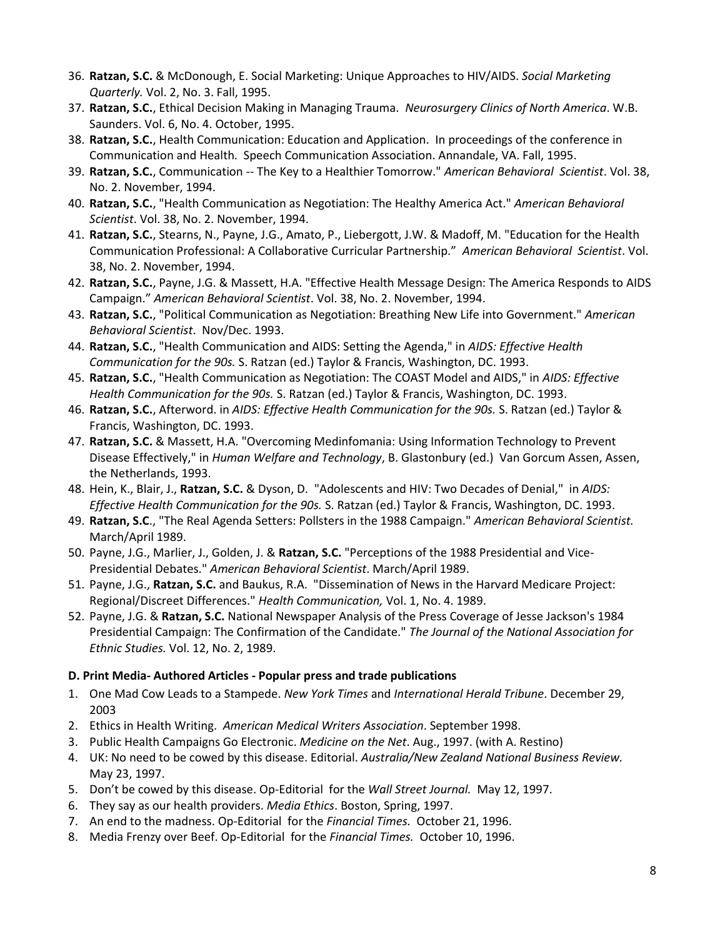- 36. **Ratzan, S.C.** & McDonough, E. Social Marketing: Unique Approaches to HIV/AIDS. *Social Marketing Quarterly.* Vol. 2, No. 3. Fall, 1995.
- 37. **Ratzan, S.C.**, Ethical Decision Making in Managing Trauma. *Neurosurgery Clinics of North America*. W.B. Saunders. Vol. 6, No. 4. October, 1995.
- 38. **Ratzan, S.C.**, Health Communication: Education and Application. In proceedings of the conference in Communication and Health. Speech Communication Association. Annandale, VA. Fall, 1995.
- 39. **Ratzan, S.C.**, Communication -- The Key to a Healthier Tomorrow." *American Behavioral Scientist*. Vol. 38, No. 2. November, 1994.
- 40. **Ratzan, S.C.**, "Health Communication as Negotiation: The Healthy America Act." *American Behavioral Scientist*. Vol. 38, No. 2. November, 1994.
- 41. **Ratzan, S.C.**, Stearns, N., Payne, J.G., Amato, P., Liebergott, J.W. & Madoff, M. "Education for the Health Communication Professional: A Collaborative Curricular Partnership." *American Behavioral Scientist*. Vol. 38, No. 2. November, 1994.
- 42. **Ratzan, S.C.**, Payne, J.G. & Massett, H.A. "Effective Health Message Design: The America Responds to AIDS Campaign." *American Behavioral Scientist*. Vol. 38, No. 2. November, 1994.
- 43. **Ratzan, S.C.**, "Political Communication as Negotiation: Breathing New Life into Government." *American Behavioral Scientist*. Nov/Dec. 1993.
- 44. **Ratzan, S.C.**, "Health Communication and AIDS: Setting the Agenda," in *AIDS: Effective Health Communication for the 90s.* S. Ratzan (ed.) Taylor & Francis, Washington, DC. 1993.
- 45. **Ratzan, S.C.**, "Health Communication as Negotiation: The COAST Model and AIDS," in *AIDS: Effective Health Communication for the 90s.* S. Ratzan (ed.) Taylor & Francis, Washington, DC. 1993.
- 46. **Ratzan, S.C.**, Afterword. in *AIDS: Effective Health Communication for the 90s.* S. Ratzan (ed.) Taylor & Francis, Washington, DC. 1993.
- 47. **Ratzan, S.C.** & Massett, H.A. "Overcoming Medinfomania: Using Information Technology to Prevent Disease Effectively," in *Human Welfare and Technology*, B. Glastonbury (ed.) Van Gorcum Assen, Assen, the Netherlands, 1993.
- 48. Hein, K., Blair, J., **Ratzan, S.C.** & Dyson, D."Adolescents and HIV: Two Decades of Denial," in *AIDS: Effective Health Communication for the 90s.* S. Ratzan (ed.) Taylor & Francis, Washington, DC. 1993.
- 49. **Ratzan, S.C**., "The Real Agenda Setters: Pollsters in the 1988 Campaign." *American Behavioral Scientist.* March/April 1989.
- 50. Payne, J.G., Marlier, J., Golden, J. & **Ratzan, S.C.** "Perceptions of the 1988 Presidential and Vice-Presidential Debates." *American Behavioral Scientist*. March/April 1989.
- 51. Payne, J.G., **Ratzan, S.C.** and Baukus, R.A. "Dissemination of News in the Harvard Medicare Project: Regional/Discreet Differences." *Health Communication,* Vol. 1, No. 4. 1989.
- 52. Payne, J.G. & **Ratzan, S.C.** National Newspaper Analysis of the Press Coverage of Jesse Jackson's 1984 Presidential Campaign: The Confirmation of the Candidate." *The Journal of the National Association for Ethnic Studies.* Vol. 12, No. 2, 1989.

## **D. Print Media- Authored Articles - Popular press and trade publications**

- 1. One Mad Cow Leads to a Stampede. *New York Times* and *International Herald Tribune*. December 29, 2003
- 2. Ethics in Health Writing. *American Medical Writers Association*. September 1998.
- 3. Public Health Campaigns Go Electronic. *Medicine on the Net*. Aug., 1997. (with A. Restino)
- 4. UK: No need to be cowed by this disease. Editorial. *Australia/New Zealand National Business Review.*  May 23, 1997.
- 5. Don't be cowed by this disease. Op-Editorial for the *Wall Street Journal.* May 12, 1997.
- 6. They say as our health providers. *Media Ethics*. Boston, Spring, 1997.
- 7. An end to the madness. Op-Editorial for the *Financial Times.* October 21, 1996.
- 8. Media Frenzy over Beef. Op-Editorial for the *Financial Times.* October 10, 1996.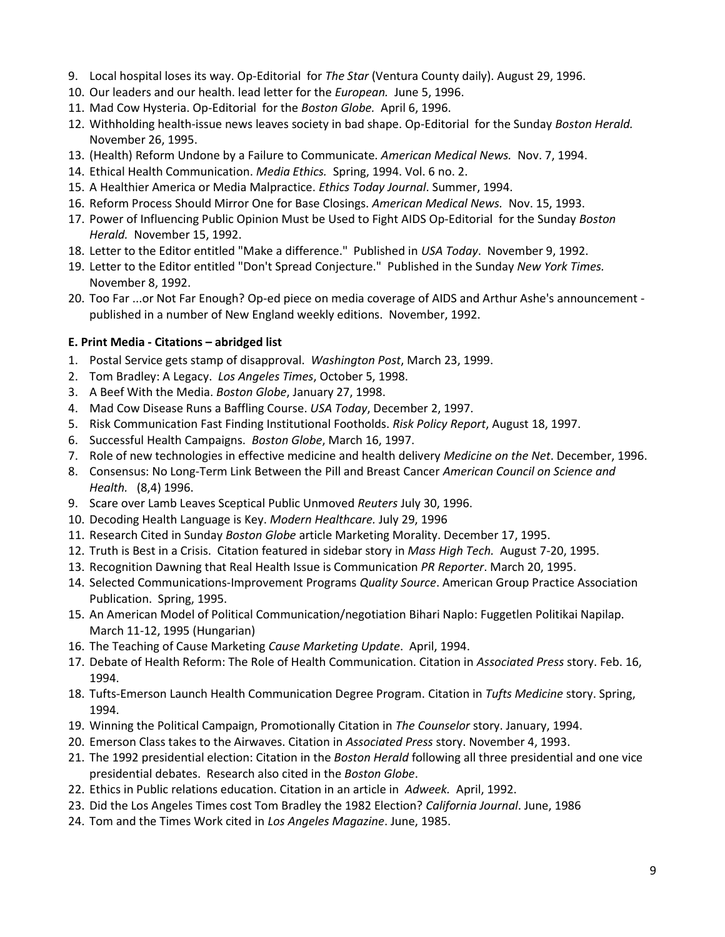- 9. Local hospital loses its way. Op-Editorial for *The Star* (Ventura County daily). August 29, 1996.
- 10. Our leaders and our health. lead letter for the *European.* June 5, 1996.
- 11. Mad Cow Hysteria. Op-Editorial for the *Boston Globe.* April 6, 1996.
- 12. Withholding health-issue news leaves society in bad shape. Op-Editorial for the Sunday *Boston Herald.*  November 26, 1995.
- 13. (Health) Reform Undone by a Failure to Communicate. *American Medical News.* Nov. 7, 1994.
- 14. Ethical Health Communication. *Media Ethics.* Spring, 1994. Vol. 6 no. 2.
- 15. A Healthier America or Media Malpractice. *Ethics Today Journal*. Summer, 1994.
- 16. Reform Process Should Mirror One for Base Closings. *American Medical News.* Nov. 15, 1993.
- 17. Power of Influencing Public Opinion Must be Used to Fight AIDS Op-Editorial for the Sunday *Boston Herald.* November 15, 1992.
- 18. Letter to the Editor entitled "Make a difference." Published in *USA Today*. November 9, 1992.
- 19. Letter to the Editor entitled "Don't Spread Conjecture." Published in the Sunday *New York Times.* November 8, 1992.
- 20. Too Far ...or Not Far Enough? Op-ed piece on media coverage of AIDS and Arthur Ashe's announcement published in a number of New England weekly editions. November, 1992.

## **E. Print Media - Citations – abridged list**

- 1. Postal Service gets stamp of disapproval. *Washington Post*, March 23, 1999.
- 2. Tom Bradley: A Legacy. *Los Angeles Times*, October 5, 1998.
- 3. A Beef With the Media. *Boston Globe*, January 27, 1998.
- 4. Mad Cow Disease Runs a Baffling Course. *USA Today*, December 2, 1997.
- 5. Risk Communication Fast Finding Institutional Footholds. *Risk Policy Report*, August 18, 1997.
- 6. Successful Health Campaigns. *Boston Globe*, March 16, 1997.
- 7. Role of new technologies in effective medicine and health delivery *Medicine on the Net*. December, 1996.
- 8. Consensus: No Long-Term Link Between the Pill and Breast Cancer *American Council on Science and Health.* (8,4) 1996.
- 9. Scare over Lamb Leaves Sceptical Public Unmoved *Reuters* July 30, 1996.
- 10. Decoding Health Language is Key. *Modern Healthcare.* July 29, 1996
- 11. Research Cited in Sunday *Boston Globe* article Marketing Morality. December 17, 1995.
- 12. Truth is Best in a Crisis. Citation featured in sidebar story in *Mass High Tech.* August 7-20, 1995.
- 13. Recognition Dawning that Real Health Issue is Communication *PR Reporter*. March 20, 1995.
- 14. Selected Communications-Improvement Programs *Quality Source*. American Group Practice Association Publication. Spring, 1995.
- 15. An American Model of Political Communication/negotiation Bihari Naplo: Fuggetlen Politikai Napilap. March 11-12, 1995 (Hungarian)
- 16. The Teaching of Cause Marketing *Cause Marketing Update*. April, 1994.
- 17. Debate of Health Reform: The Role of Health Communication. Citation in *Associated Press* story. Feb. 16, 1994.
- 18. Tufts-Emerson Launch Health Communication Degree Program. Citation in *Tufts Medicine* story. Spring, 1994.
- 19. Winning the Political Campaign, Promotionally Citation in *The Counselor* story. January, 1994.
- 20. Emerson Class takes to the Airwaves. Citation in *Associated Press* story. November 4, 1993.
- 21. The 1992 presidential election: Citation in the *Boston Herald* following all three presidential and one vice presidential debates. Research also cited in the *Boston Globe*.
- 22. Ethics in Public relations education. Citation in an article in *Adweek.* April, 1992.
- 23. Did the Los Angeles Times cost Tom Bradley the 1982 Election? *California Journal*. June, 1986
- 24. Tom and the Times Work cited in *Los Angeles Magazine*. June, 1985.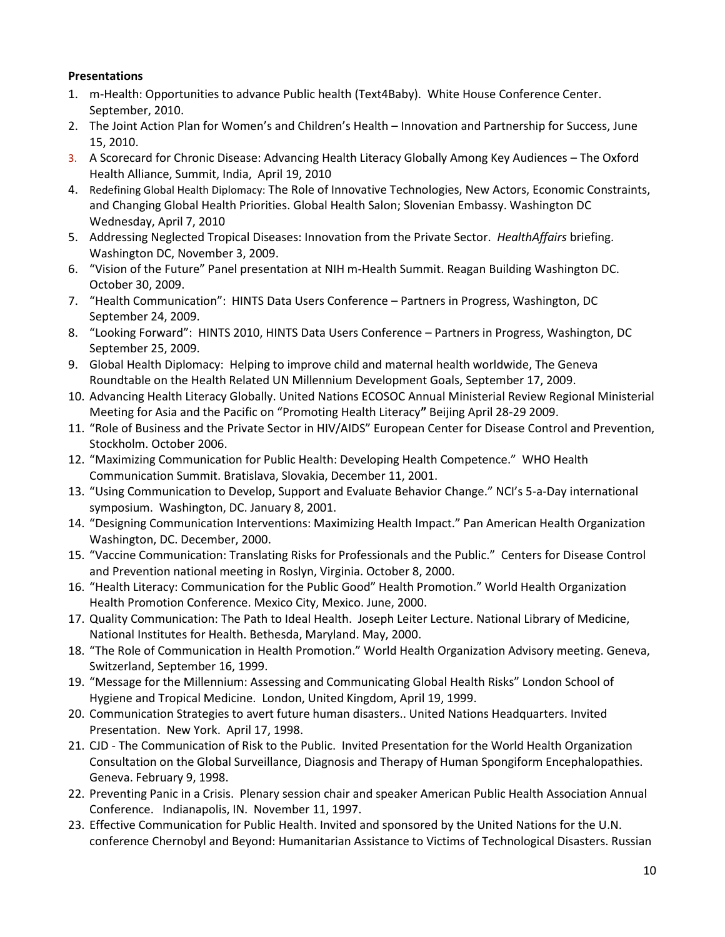# **Presentations**

- 1. m-Health: Opportunities to advance Public health (Text4Baby). White House Conference Center. September, 2010.
- 2. The Joint Action Plan for Women's and Children's Health Innovation and Partnership for Success, June 15, 2010.
- 3. A Scorecard for Chronic Disease: Advancing Health Literacy Globally Among Key Audiences The Oxford Health Alliance, Summit, India, April 19, 2010
- 4. Redefining Global Health Diplomacy: The Role of Innovative Technologies, New Actors, Economic Constraints, and Changing Global Health Priorities. Global Health Salon; Slovenian Embassy. Washington DC Wednesday, April 7, 2010
- 5. Addressing Neglected Tropical Diseases: Innovation from the Private Sector. *HealthAffairs* briefing. Washington DC, November 3, 2009.
- 6. "Vision of the Future" Panel presentation at NIH m-Health Summit. Reagan Building Washington DC. October 30, 2009.
- 7. "Health Communication": HINTS Data Users Conference Partners in Progress, Washington, DC September 24, 2009.
- 8. "Looking Forward": HINTS 2010, HINTS Data Users Conference Partners in Progress, Washington, DC September 25, 2009.
- 9. Global Health Diplomacy: Helping to improve child and maternal health worldwide, The Geneva Roundtable on the Health Related UN Millennium Development Goals, September 17, 2009.
- 10. Advancing Health Literacy Globally. United Nations ECOSOC Annual Ministerial Review Regional Ministerial Meeting for Asia and the Pacific on "Promoting Health Literacy**"** Beijing April 28-29 2009.
- 11. "Role of Business and the Private Sector in HIV/AIDS" European Center for Disease Control and Prevention, Stockholm. October 2006.
- 12. "Maximizing Communication for Public Health: Developing Health Competence." WHO Health Communication Summit. Bratislava, Slovakia, December 11, 2001.
- 13. "Using Communication to Develop, Support and Evaluate Behavior Change." NCI's 5-a-Day international symposium. Washington, DC. January 8, 2001.
- 14. "Designing Communication Interventions: Maximizing Health Impact." Pan American Health Organization Washington, DC. December, 2000.
- 15. "Vaccine Communication: Translating Risks for Professionals and the Public." Centers for Disease Control and Prevention national meeting in Roslyn, Virginia. October 8, 2000.
- 16. "Health Literacy: Communication for the Public Good" Health Promotion." World Health Organization Health Promotion Conference. Mexico City, Mexico. June, 2000.
- 17. Quality Communication: The Path to Ideal Health. Joseph Leiter Lecture. National Library of Medicine, National Institutes for Health. Bethesda, Maryland. May, 2000.
- 18. "The Role of Communication in Health Promotion." World Health Organization Advisory meeting. Geneva, Switzerland, September 16, 1999.
- 19. "Message for the Millennium: Assessing and Communicating Global Health Risks" London School of Hygiene and Tropical Medicine. London, United Kingdom, April 19, 1999.
- 20. Communication Strategies to avert future human disasters.. United Nations Headquarters. Invited Presentation. New York. April 17, 1998.
- 21. CJD The Communication of Risk to the Public. Invited Presentation for the World Health Organization Consultation on the Global Surveillance, Diagnosis and Therapy of Human Spongiform Encephalopathies. Geneva. February 9, 1998.
- 22. Preventing Panic in a Crisis. Plenary session chair and speaker American Public Health Association Annual Conference. Indianapolis, IN. November 11, 1997.
- 23. Effective Communication for Public Health. Invited and sponsored by the United Nations for the U.N. conference Chernobyl and Beyond: Humanitarian Assistance to Victims of Technological Disasters. Russian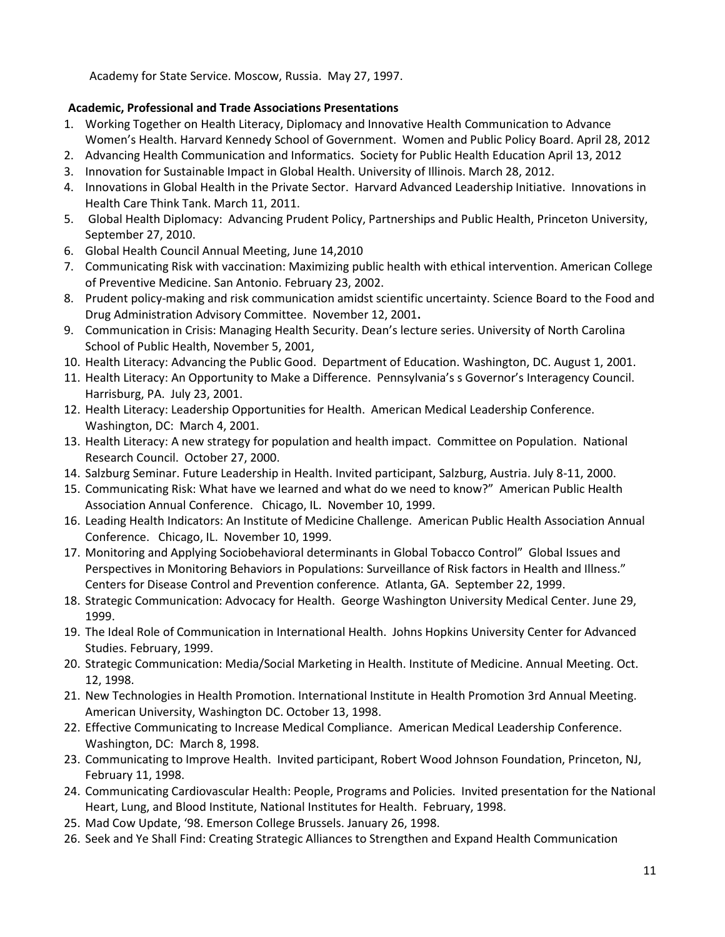Academy for State Service. Moscow, Russia. May 27, 1997.

# **Academic, Professional and Trade Associations Presentations**

- 1. [Working Together on Health Literacy, Diplomacy and Innovative Health Communication to Advance](http://www.hks.harvard.edu/centers/wappp/news-events/events-calendar#/?i=3)  [Women's Health](http://www.hks.harvard.edu/centers/wappp/news-events/events-calendar#/?i=3). Harvard Kennedy School of Government. Women and Public Policy Board. April 28, 2012
- 2. Advancing Health Communication and Informatics. Society for Public Health Education April 13, 2012
- 3. Innovation for Sustainable Impact in Global Health. University of Illinois. March 28, 2012.
- 4. Innovations in Global Health in the Private Sector. Harvard Advanced Leadership Initiative. Innovations in Health Care Think Tank. March 11, 2011.
- 5. Global Health Diplomacy: Advancing Prudent Policy, Partnerships and Public Health, Princeton University, September 27, 2010.
- 6. Global Health Council Annual Meeting, June 14,2010
- 7. Communicating Risk with vaccination: Maximizing public health with ethical intervention. American College of Preventive Medicine. San Antonio. February 23, 2002.
- 8. Prudent policy-making and risk communication amidst scientific uncertainty. Science Board to the Food and Drug Administration Advisory Committee. November 12, 2001**.**
- 9. Communication in Crisis: Managing Health Security. Dean's lecture series. University of North Carolina School of Public Health, November 5, 2001,
- 10. Health Literacy: Advancing the Public Good. Department of Education. Washington, DC. August 1, 2001.
- 11. Health Literacy: An Opportunity to Make a Difference. Pennsylvania's s Governor's Interagency Council. Harrisburg, PA. July 23, 2001.
- 12. Health Literacy: Leadership Opportunities for Health. American Medical Leadership Conference. Washington, DC: March 4, 2001.
- 13. Health Literacy: A new strategy for population and health impact. Committee on Population. National Research Council. October 27, 2000.
- 14. Salzburg Seminar. Future Leadership in Health. Invited participant, Salzburg, Austria. July 8-11, 2000.
- 15. Communicating Risk: What have we learned and what do we need to know?" American Public Health Association Annual Conference. Chicago, IL. November 10, 1999.
- 16. Leading Health Indicators: An Institute of Medicine Challenge. American Public Health Association Annual Conference. Chicago, IL. November 10, 1999.
- 17. Monitoring and Applying Sociobehavioral determinants in Global Tobacco Control" Global Issues and Perspectives in Monitoring Behaviors in Populations: Surveillance of Risk factors in Health and Illness." Centers for Disease Control and Prevention conference. Atlanta, GA. September 22, 1999.
- 18. Strategic Communication: Advocacy for Health. George Washington University Medical Center. June 29, 1999.
- 19. The Ideal Role of Communication in International Health. Johns Hopkins University Center for Advanced Studies. February, 1999.
- 20. Strategic Communication: Media/Social Marketing in Health. Institute of Medicine. Annual Meeting. Oct. 12, 1998.
- 21. New Technologies in Health Promotion. International Institute in Health Promotion 3rd Annual Meeting. American University, Washington DC. October 13, 1998.
- 22. Effective Communicating to Increase Medical Compliance. American Medical Leadership Conference. Washington, DC: March 8, 1998.
- 23. Communicating to Improve Health. Invited participant, Robert Wood Johnson Foundation, Princeton, NJ, February 11, 1998.
- 24. Communicating Cardiovascular Health: People, Programs and Policies. Invited presentation for the National Heart, Lung, and Blood Institute, National Institutes for Health. February, 1998.
- 25. Mad Cow Update, '98. Emerson College Brussels. January 26, 1998.
- 26. Seek and Ye Shall Find: Creating Strategic Alliances to Strengthen and Expand Health Communication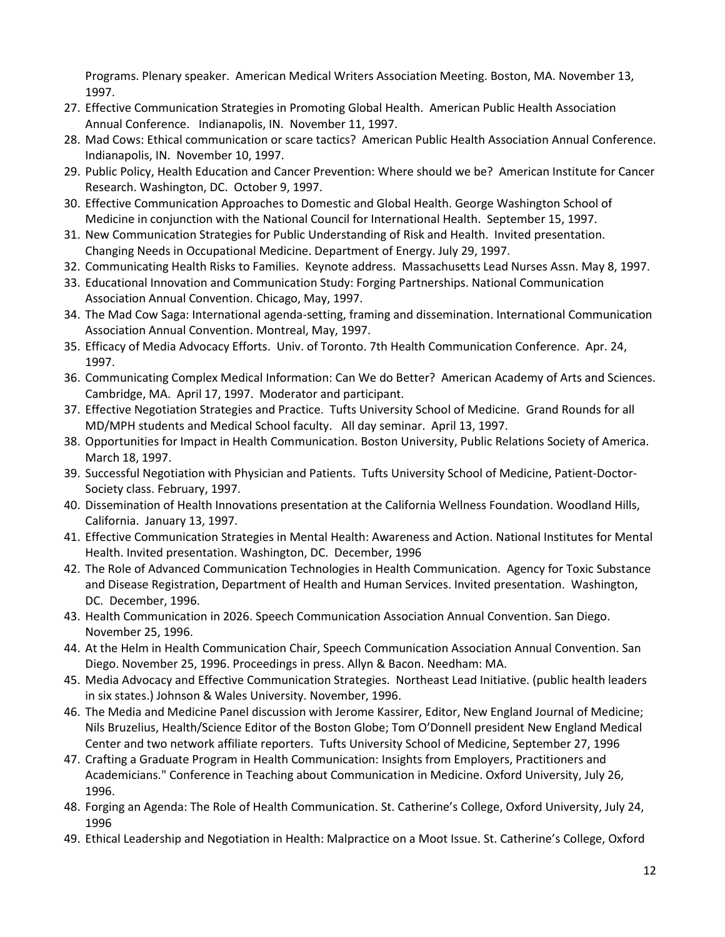Programs. Plenary speaker. American Medical Writers Association Meeting. Boston, MA. November 13, 1997.

- 27. Effective Communication Strategies in Promoting Global Health. American Public Health Association Annual Conference. Indianapolis, IN. November 11, 1997.
- 28. Mad Cows: Ethical communication or scare tactics? American Public Health Association Annual Conference. Indianapolis, IN. November 10, 1997.
- 29. Public Policy, Health Education and Cancer Prevention: Where should we be? American Institute for Cancer Research. Washington, DC. October 9, 1997.
- 30. Effective Communication Approaches to Domestic and Global Health. George Washington School of Medicine in conjunction with the National Council for International Health. September 15, 1997.
- 31. New Communication Strategies for Public Understanding of Risk and Health. Invited presentation. Changing Needs in Occupational Medicine. Department of Energy. July 29, 1997.
- 32. Communicating Health Risks to Families. Keynote address. Massachusetts Lead Nurses Assn. May 8, 1997.
- 33. Educational Innovation and Communication Study: Forging Partnerships. National Communication Association Annual Convention. Chicago, May, 1997.
- 34. The Mad Cow Saga: International agenda-setting, framing and dissemination. International Communication Association Annual Convention. Montreal, May, 1997.
- 35. Efficacy of Media Advocacy Efforts. Univ. of Toronto. 7th Health Communication Conference. Apr. 24, 1997.
- 36. Communicating Complex Medical Information: Can We do Better? American Academy of Arts and Sciences. Cambridge, MA. April 17, 1997. Moderator and participant.
- 37. Effective Negotiation Strategies and Practice. Tufts University School of Medicine. Grand Rounds for all MD/MPH students and Medical School faculty. All day seminar. April 13, 1997.
- 38. Opportunities for Impact in Health Communication. Boston University, Public Relations Society of America. March 18, 1997.
- 39. Successful Negotiation with Physician and Patients. Tufts University School of Medicine, Patient-Doctor-Society class. February, 1997.
- 40. Dissemination of Health Innovations presentation at the California Wellness Foundation. Woodland Hills, California. January 13, 1997.
- 41. Effective Communication Strategies in Mental Health: Awareness and Action. National Institutes for Mental Health. Invited presentation. Washington, DC. December, 1996
- 42. The Role of Advanced Communication Technologies in Health Communication. Agency for Toxic Substance and Disease Registration, Department of Health and Human Services. Invited presentation. Washington, DC. December, 1996.
- 43. Health Communication in 2026. Speech Communication Association Annual Convention. San Diego. November 25, 1996.
- 44. At the Helm in Health Communication Chair, Speech Communication Association Annual Convention. San Diego. November 25, 1996. Proceedings in press. Allyn & Bacon. Needham: MA.
- 45. Media Advocacy and Effective Communication Strategies. Northeast Lead Initiative. (public health leaders in six states.) Johnson & Wales University. November, 1996.
- 46. The Media and Medicine Panel discussion with Jerome Kassirer, Editor, New England Journal of Medicine; Nils Bruzelius, Health/Science Editor of the Boston Globe; Tom O'Donnell president New England Medical Center and two network affiliate reporters. Tufts University School of Medicine, September 27, 1996
- 47. Crafting a Graduate Program in Health Communication: Insights from Employers, Practitioners and Academicians." Conference in Teaching about Communication in Medicine. Oxford University, July 26, 1996.
- 48. Forging an Agenda: The Role of Health Communication. St. Catherine's College, Oxford University, July 24, 1996
- 49. Ethical Leadership and Negotiation in Health: Malpractice on a Moot Issue. St. Catherine's College, Oxford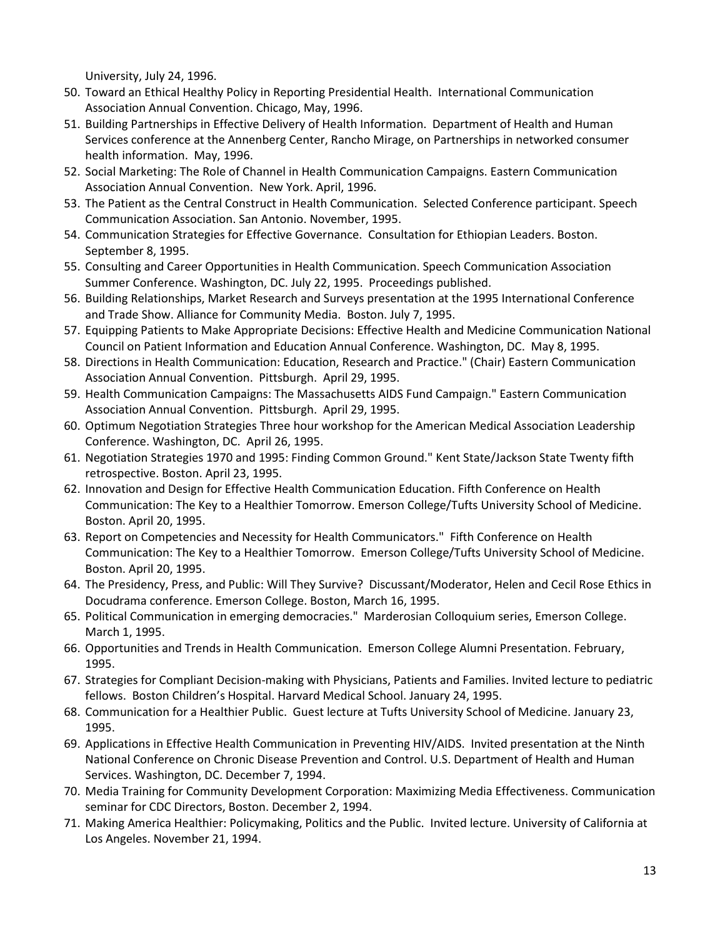University, July 24, 1996.

- 50. Toward an Ethical Healthy Policy in Reporting Presidential Health. International Communication Association Annual Convention. Chicago, May, 1996.
- 51. Building Partnerships in Effective Delivery of Health Information. Department of Health and Human Services conference at the Annenberg Center, Rancho Mirage, on Partnerships in networked consumer health information. May, 1996.
- 52. Social Marketing: The Role of Channel in Health Communication Campaigns. Eastern Communication Association Annual Convention. New York. April, 1996.
- 53. The Patient as the Central Construct in Health Communication. Selected Conference participant. Speech Communication Association. San Antonio. November, 1995.
- 54. Communication Strategies for Effective Governance. Consultation for Ethiopian Leaders. Boston. September 8, 1995.
- 55. Consulting and Career Opportunities in Health Communication. Speech Communication Association Summer Conference. Washington, DC. July 22, 1995. Proceedings published.
- 56. Building Relationships, Market Research and Surveys presentation at the 1995 International Conference and Trade Show. Alliance for Community Media. Boston. July 7, 1995.
- 57. Equipping Patients to Make Appropriate Decisions: Effective Health and Medicine Communication National Council on Patient Information and Education Annual Conference. Washington, DC. May 8, 1995.
- 58. Directions in Health Communication: Education, Research and Practice." (Chair) Eastern Communication Association Annual Convention. Pittsburgh. April 29, 1995.
- 59. Health Communication Campaigns: The Massachusetts AIDS Fund Campaign." Eastern Communication Association Annual Convention. Pittsburgh. April 29, 1995.
- 60. Optimum Negotiation Strategies Three hour workshop for the American Medical Association Leadership Conference. Washington, DC. April 26, 1995.
- 61. Negotiation Strategies 1970 and 1995: Finding Common Ground." Kent State/Jackson State Twenty fifth retrospective. Boston. April 23, 1995.
- 62. Innovation and Design for Effective Health Communication Education. Fifth Conference on Health Communication: The Key to a Healthier Tomorrow. Emerson College/Tufts University School of Medicine. Boston. April 20, 1995.
- 63. Report on Competencies and Necessity for Health Communicators." Fifth Conference on Health Communication: The Key to a Healthier Tomorrow. Emerson College/Tufts University School of Medicine. Boston. April 20, 1995.
- 64. The Presidency, Press, and Public: Will They Survive? Discussant/Moderator, Helen and Cecil Rose Ethics in Docudrama conference. Emerson College. Boston, March 16, 1995.
- 65. Political Communication in emerging democracies." Marderosian Colloquium series, Emerson College. March 1, 1995.
- 66. Opportunities and Trends in Health Communication. Emerson College Alumni Presentation. February, 1995.
- 67. Strategies for Compliant Decision-making with Physicians, Patients and Families. Invited lecture to pediatric fellows. Boston Children's Hospital. Harvard Medical School. January 24, 1995.
- 68. Communication for a Healthier Public. Guest lecture at Tufts University School of Medicine. January 23, 1995.
- 69. Applications in Effective Health Communication in Preventing HIV/AIDS. Invited presentation at the Ninth National Conference on Chronic Disease Prevention and Control. U.S. Department of Health and Human Services. Washington, DC. December 7, 1994.
- 70. Media Training for Community Development Corporation: Maximizing Media Effectiveness. Communication seminar for CDC Directors, Boston. December 2, 1994.
- 71. Making America Healthier: Policymaking, Politics and the Public. Invited lecture. University of California at Los Angeles. November 21, 1994.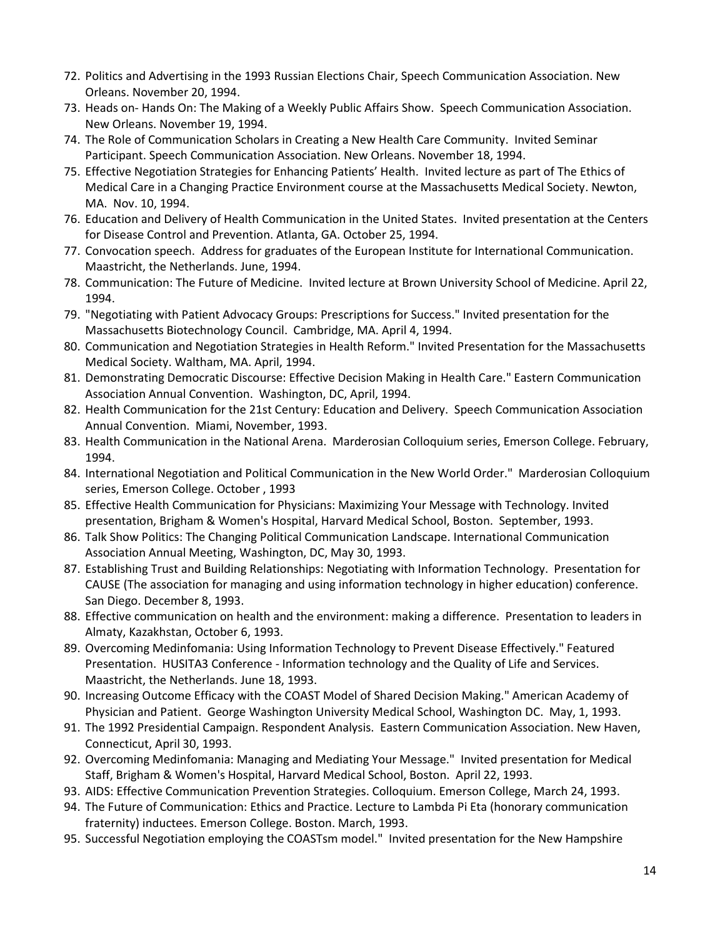- 72. Politics and Advertising in the 1993 Russian Elections Chair, Speech Communication Association. New Orleans. November 20, 1994.
- 73. Heads on- Hands On: The Making of a Weekly Public Affairs Show. Speech Communication Association. New Orleans. November 19, 1994.
- 74. The Role of Communication Scholars in Creating a New Health Care Community. Invited Seminar Participant. Speech Communication Association. New Orleans. November 18, 1994.
- 75. Effective Negotiation Strategies for Enhancing Patients' Health. Invited lecture as part of The Ethics of Medical Care in a Changing Practice Environment course at the Massachusetts Medical Society. Newton, MA. Nov. 10, 1994.
- 76. Education and Delivery of Health Communication in the United States. Invited presentation at the Centers for Disease Control and Prevention. Atlanta, GA. October 25, 1994.
- 77. Convocation speech. Address for graduates of the European Institute for International Communication. Maastricht, the Netherlands. June, 1994.
- 78. Communication: The Future of Medicine. Invited lecture at Brown University School of Medicine. April 22, 1994.
- 79. "Negotiating with Patient Advocacy Groups: Prescriptions for Success." Invited presentation for the Massachusetts Biotechnology Council. Cambridge, MA. April 4, 1994.
- 80. Communication and Negotiation Strategies in Health Reform." Invited Presentation for the Massachusetts Medical Society. Waltham, MA. April, 1994.
- 81. Demonstrating Democratic Discourse: Effective Decision Making in Health Care." Eastern Communication Association Annual Convention. Washington, DC, April, 1994.
- 82. Health Communication for the 21st Century: Education and Delivery. Speech Communication Association Annual Convention. Miami, November, 1993.
- 83. Health Communication in the National Arena. Marderosian Colloquium series, Emerson College. February, 1994.
- 84. International Negotiation and Political Communication in the New World Order." Marderosian Colloquium series, Emerson College. October , 1993
- 85. Effective Health Communication for Physicians: Maximizing Your Message with Technology. Invited presentation, Brigham & Women's Hospital, Harvard Medical School, Boston. September, 1993.
- 86. Talk Show Politics: The Changing Political Communication Landscape. International Communication Association Annual Meeting, Washington, DC, May 30, 1993.
- 87. Establishing Trust and Building Relationships: Negotiating with Information Technology. Presentation for CAUSE (The association for managing and using information technology in higher education) conference. San Diego. December 8, 1993.
- 88. Effective communication on health and the environment: making a difference. Presentation to leaders in Almaty, Kazakhstan, October 6, 1993.
- 89. Overcoming Medinfomania: Using Information Technology to Prevent Disease Effectively." Featured Presentation. HUSITA3 Conference - Information technology and the Quality of Life and Services. Maastricht, the Netherlands. June 18, 1993.
- 90. Increasing Outcome Efficacy with the COAST Model of Shared Decision Making." American Academy of Physician and Patient. George Washington University Medical School, Washington DC. May, 1, 1993.
- 91. The 1992 Presidential Campaign. Respondent Analysis. Eastern Communication Association. New Haven, Connecticut, April 30, 1993.
- 92. Overcoming Medinfomania: Managing and Mediating Your Message." Invited presentation for Medical Staff, Brigham & Women's Hospital, Harvard Medical School, Boston. April 22, 1993.
- 93. AIDS: Effective Communication Prevention Strategies. Colloquium. Emerson College, March 24, 1993.
- 94. The Future of Communication: Ethics and Practice. Lecture to Lambda Pi Eta (honorary communication fraternity) inductees. Emerson College. Boston. March, 1993.
- 95. Successful Negotiation employing the COASTsm model." Invited presentation for the New Hampshire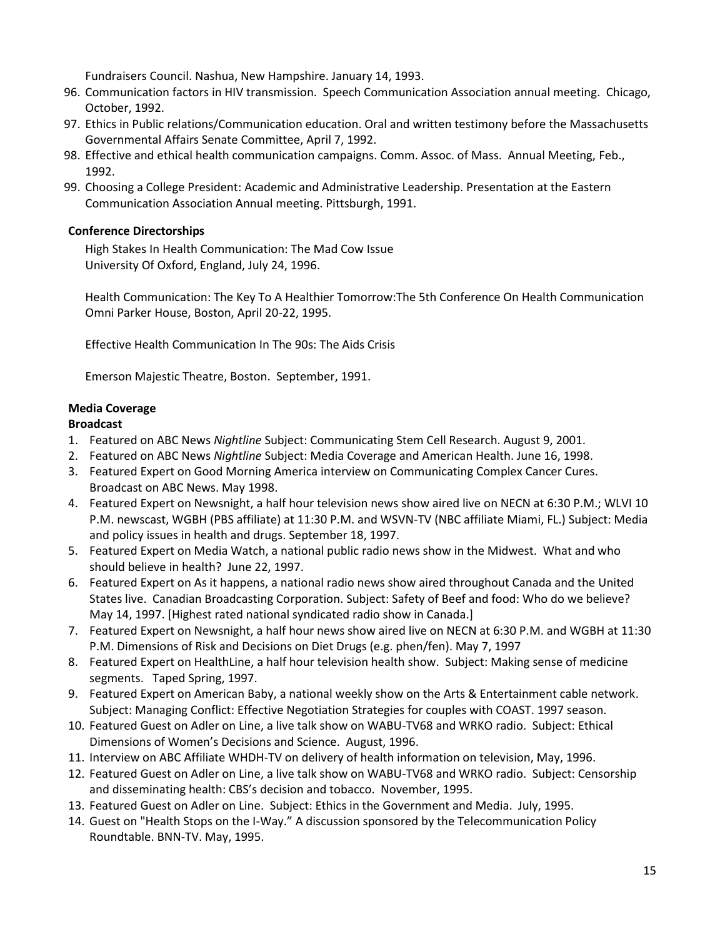Fundraisers Council. Nashua, New Hampshire. January 14, 1993.

- 96. Communication factors in HIV transmission. Speech Communication Association annual meeting. Chicago, October, 1992.
- 97. Ethics in Public relations/Communication education. Oral and written testimony before the Massachusetts Governmental Affairs Senate Committee, April 7, 1992.
- 98. Effective and ethical health communication campaigns. Comm. Assoc. of Mass. Annual Meeting, Feb., 1992.
- 99. Choosing a College President: Academic and Administrative Leadership. Presentation at the Eastern Communication Association Annual meeting. Pittsburgh, 1991.

## **Conference Directorships**

High Stakes In Health Communication: The Mad Cow Issue University Of Oxford, England, July 24, 1996.

Health Communication: The Key To A Healthier Tomorrow:The 5th Conference On Health Communication Omni Parker House, Boston, April 20-22, 1995.

Effective Health Communication In The 90s: The Aids Crisis

Emerson Majestic Theatre, Boston. September, 1991.

# **Media Coverage**

## **Broadcast**

- 1. Featured on ABC News *Nightline* Subject: Communicating Stem Cell Research. August 9, 2001.
- 2. Featured on ABC News *Nightline* Subject: Media Coverage and American Health. June 16, 1998.
- 3. Featured Expert on Good Morning America interview on Communicating Complex Cancer Cures. Broadcast on ABC News. May 1998.
- 4. Featured Expert on Newsnight, a half hour television news show aired live on NECN at 6:30 P.M.; WLVI 10 P.M. newscast, WGBH (PBS affiliate) at 11:30 P.M. and WSVN-TV (NBC affiliate Miami, FL.) Subject: Media and policy issues in health and drugs. September 18, 1997.
- 5. Featured Expert on Media Watch, a national public radio news show in the Midwest. What and who should believe in health? June 22, 1997.
- 6. Featured Expert on As it happens, a national radio news show aired throughout Canada and the United States live. Canadian Broadcasting Corporation. Subject: Safety of Beef and food: Who do we believe? May 14, 1997. [Highest rated national syndicated radio show in Canada.]
- 7. Featured Expert on Newsnight, a half hour news show aired live on NECN at 6:30 P.M. and WGBH at 11:30 P.M. Dimensions of Risk and Decisions on Diet Drugs (e.g. phen/fen). May 7, 1997
- 8. Featured Expert on HealthLine, a half hour television health show. Subject: Making sense of medicine segments. Taped Spring, 1997.
- 9. Featured Expert on American Baby, a national weekly show on the Arts & Entertainment cable network. Subject: Managing Conflict: Effective Negotiation Strategies for couples with COAST. 1997 season.
- 10. Featured Guest on Adler on Line, a live talk show on WABU-TV68 and WRKO radio. Subject: Ethical Dimensions of Women's Decisions and Science. August, 1996.
- 11. Interview on ABC Affiliate WHDH-TV on delivery of health information on television, May, 1996.
- 12. Featured Guest on Adler on Line, a live talk show on WABU-TV68 and WRKO radio. Subject: Censorship and disseminating health: CBS's decision and tobacco. November, 1995.
- 13. Featured Guest on Adler on Line. Subject: Ethics in the Government and Media. July, 1995.
- 14. Guest on "Health Stops on the I-Way." A discussion sponsored by the Telecommunication Policy Roundtable. BNN-TV. May, 1995.